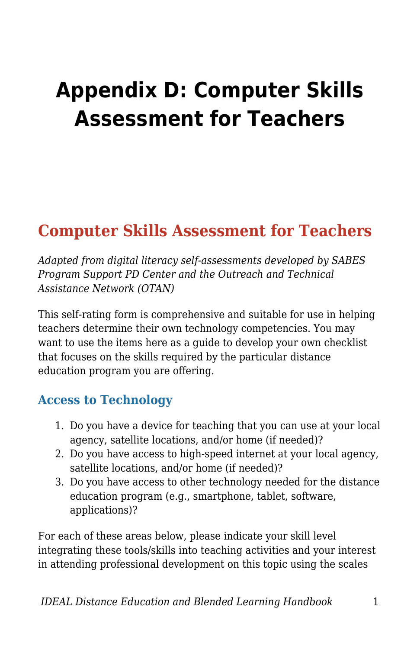# **Appendix D: Computer Skills Assessment for Teachers**

## **Computer Skills Assessment for Teachers**

*Adapted from digital literacy self-assessments developed by SABES Program Support PD Center and the Outreach and Technical Assistance Network (OTAN)* 

This self-rating form is comprehensive and suitable for use in helping teachers determine their own technology competencies. You may want to use the items here as a guide to develop your own checklist that focuses on the skills required by the particular distance education program you are offering.

#### **Access to Technology**

- 1. Do you have a device for teaching that you can use at your local agency, satellite locations, and/or home (if needed)?
- 2. Do you have access to high-speed internet at your local agency, satellite locations, and/or home (if needed)?
- 3. Do you have access to other technology needed for the distance education program (e.g., smartphone, tablet, software, applications)?

For each of these areas below, please indicate your skill level integrating these tools/skills into teaching activities and your interest in attending professional development on this topic using the scales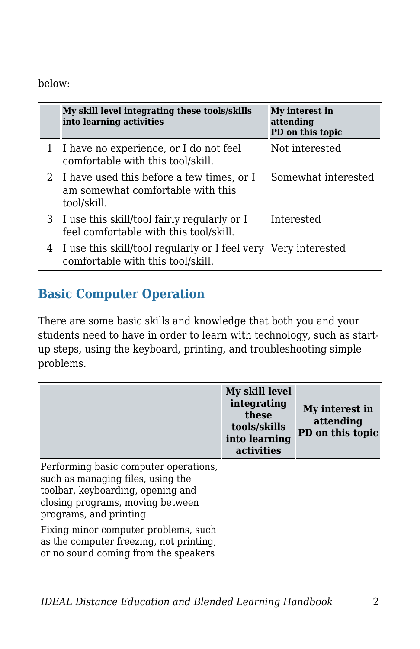#### below:

|    | My skill level integrating these tools/skills<br>into learning activities                           | My interest in<br>attending<br>PD on this topic |
|----|-----------------------------------------------------------------------------------------------------|-------------------------------------------------|
|    | I have no experience, or I do not feel<br>comfortable with this tool/skill.                         | Not interested                                  |
| 2. | I have used this before a few times, or I<br>am somewhat comfortable with this<br>tool/skill.       | Somewhat interested                             |
|    | 3 I use this skill/tool fairly regularly or I<br>feel comfortable with this tool/skill.             | Interested                                      |
| 4  | I use this skill/tool regularly or I feel very Very interested<br>comfortable with this tool/skill. |                                                 |

#### **Basic Computer Operation**

There are some basic skills and knowledge that both you and your students need to have in order to learn with technology, such as startup steps, using the keyboard, printing, and troubleshooting simple problems.

|                                                                                                                                                                               | My skill level<br>integrating<br>these<br>tools/skills<br>into learning<br>activities | My interest in<br>attending<br>PD on this topic |
|-------------------------------------------------------------------------------------------------------------------------------------------------------------------------------|---------------------------------------------------------------------------------------|-------------------------------------------------|
| Performing basic computer operations.<br>such as managing files, using the<br>toolbar, keyboarding, opening and<br>closing programs, moving between<br>programs, and printing |                                                                                       |                                                 |
| Fixing minor computer problems, such<br>as the computer freezing, not printing,<br>or no sound coming from the speakers                                                       |                                                                                       |                                                 |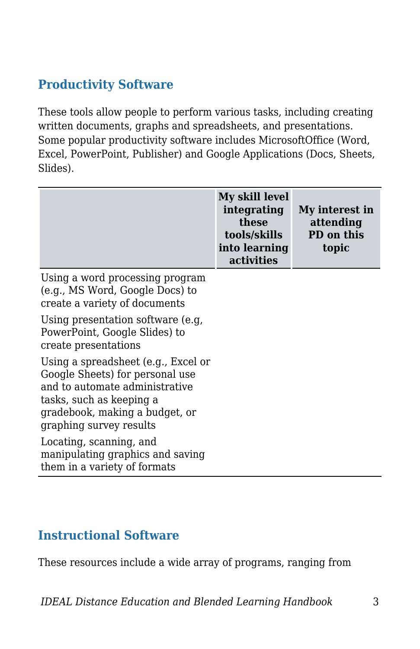### **Productivity Software**

These tools allow people to perform various tasks, including creating written documents, graphs and spreadsheets, and presentations. Some popular productivity software includes MicrosoftOffice (Word, Excel, PowerPoint, Publisher) and Google Applications (Docs, Sheets, Slides).

|                                                                                                                                                                                                   | My skill level<br>integrating<br>these<br>tools/skills<br>into learning<br>activities | My interest in<br>attending<br>PD on this<br>topic |
|---------------------------------------------------------------------------------------------------------------------------------------------------------------------------------------------------|---------------------------------------------------------------------------------------|----------------------------------------------------|
| Using a word processing program<br>(e.g., MS Word, Google Docs) to<br>create a variety of documents                                                                                               |                                                                                       |                                                    |
| Using presentation software (e.g.<br>PowerPoint, Google Slides) to<br>create presentations                                                                                                        |                                                                                       |                                                    |
| Using a spreadsheet (e.g., Excel or<br>Google Sheets) for personal use<br>and to automate administrative<br>tasks, such as keeping a<br>gradebook, making a budget, or<br>graphing survey results |                                                                                       |                                                    |
| Locating, scanning, and<br>manipulating graphics and saving<br>them in a variety of formats                                                                                                       |                                                                                       |                                                    |

#### **Instructional Software**

These resources include a wide array of programs, ranging from

*IDEAL Distance Education and Blended Learning Handbook* 3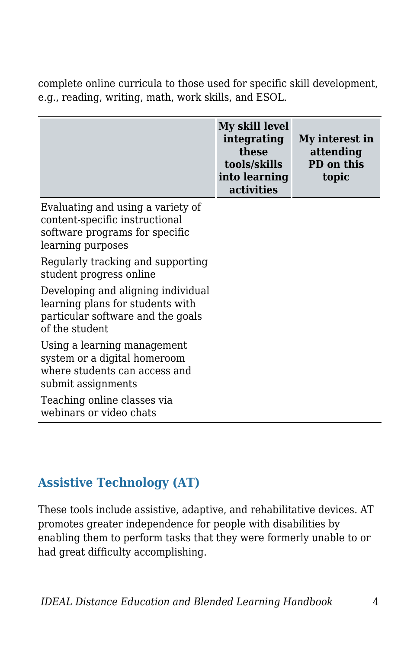complete online curricula to those used for specific skill development, e.g., reading, writing, math, work skills, and ESOL.

|                                                                                                                               | My skill level<br>integrating<br>these<br>tools/skills<br>into learning<br>activities | My interest in<br>attending<br>PD on this<br>topic |
|-------------------------------------------------------------------------------------------------------------------------------|---------------------------------------------------------------------------------------|----------------------------------------------------|
| Evaluating and using a variety of<br>content-specific instructional<br>software programs for specific<br>learning purposes    |                                                                                       |                                                    |
| Regularly tracking and supporting<br>student progress online                                                                  |                                                                                       |                                                    |
| Developing and aligning individual<br>learning plans for students with<br>particular software and the goals<br>of the student |                                                                                       |                                                    |
| Using a learning management<br>system or a digital homeroom<br>where students can access and<br>submit assignments            |                                                                                       |                                                    |
| Teaching online classes via<br>webinars or video chats                                                                        |                                                                                       |                                                    |

#### **Assistive Technology (AT)**

These tools include assistive, adaptive, and rehabilitative devices. AT promotes greater independence for people with disabilities by enabling them to perform tasks that they were formerly unable to or had great difficulty accomplishing.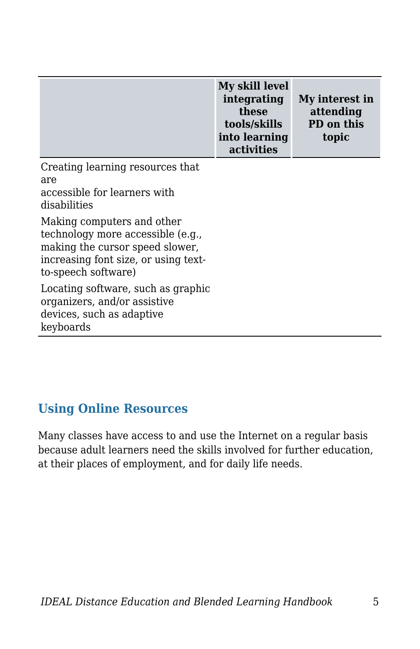|                                                                                                                                                                   | My skill level<br>integrating<br>these<br>tools/skills<br>into learning<br>activities | My interest in<br>attending<br>PD on this<br>topic |
|-------------------------------------------------------------------------------------------------------------------------------------------------------------------|---------------------------------------------------------------------------------------|----------------------------------------------------|
| Creating learning resources that<br>are<br>accessible for learners with<br>disabilities                                                                           |                                                                                       |                                                    |
| Making computers and other<br>technology more accessible (e.g.,<br>making the cursor speed slower,<br>increasing font size, or using text-<br>to-speech software) |                                                                                       |                                                    |
| Locating software, such as graphic<br>organizers, and/or assistive<br>devices, such as adaptive<br>keyboards                                                      |                                                                                       |                                                    |

#### **Using Online Resources**

Many classes have access to and use the Internet on a regular basis because adult learners need the skills involved for further education, at their places of employment, and for daily life needs.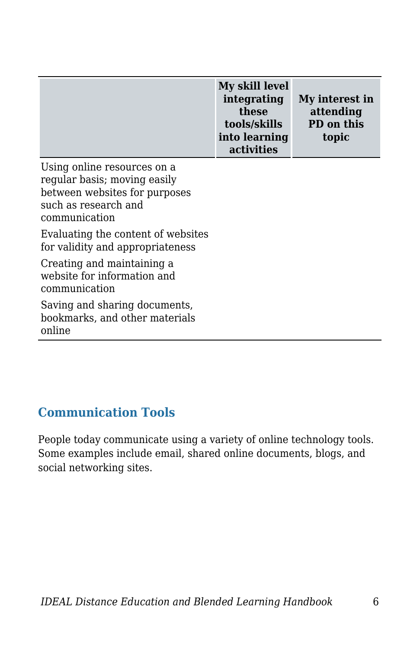| My skill level<br>integrating<br>these<br>tools/skills<br>into learning | My interest in<br>attending<br>PD on this<br>topic |
|-------------------------------------------------------------------------|----------------------------------------------------|
| activities                                                              |                                                    |

Using online resources on a regular basis; moving easily between websites for purposes such as research and communication Evaluating the content of websites for validity and appropriateness Creating and maintaining a website for information and communication Saving and sharing documents, bookmarks, and other materials online

#### **Communication Tools**

People today communicate using a variety of online technology tools. Some examples include email, shared online documents, blogs, and social networking sites.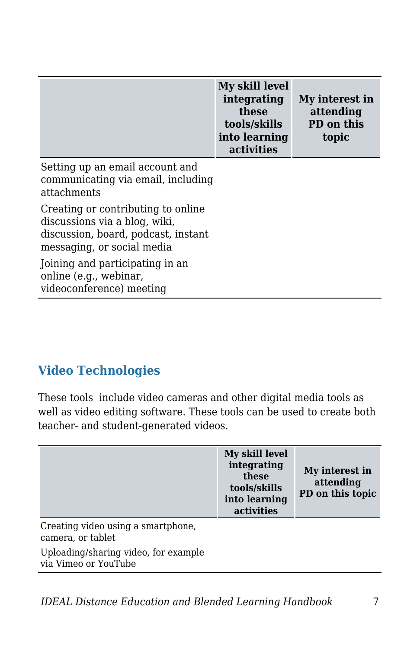|                                                                                                                                          | My skill level<br>integrating<br>these<br>tools/skills<br>into learning<br>activities | My interest in<br>attending<br>PD on this<br>topic |
|------------------------------------------------------------------------------------------------------------------------------------------|---------------------------------------------------------------------------------------|----------------------------------------------------|
| Setting up an email account and<br>communicating via email, including<br>attachments                                                     |                                                                                       |                                                    |
| Creating or contributing to online<br>discussions via a blog, wiki,<br>discussion, board, podcast, instant<br>messaging, or social media |                                                                                       |                                                    |
| Joining and participating in an<br>online (e.g., webinar,<br>videoconference) meeting                                                    |                                                                                       |                                                    |

#### **Video Technologies**

These tools include video cameras and other digital media tools as well as video editing software. These tools can be used to create both teacher- and student-generated videos.

|                                                              | My skill level<br>integrating<br>these<br>tools/skills<br>into learning<br>activities | My interest in<br>attending<br>PD on this topic |
|--------------------------------------------------------------|---------------------------------------------------------------------------------------|-------------------------------------------------|
| Creating video using a smartphone,<br>camera, or tablet      |                                                                                       |                                                 |
| Uploading/sharing video, for example<br>via Vimeo or YouTube |                                                                                       |                                                 |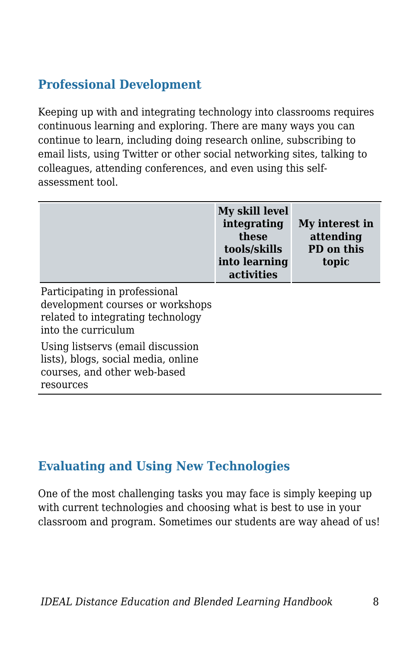### **Professional Development**

Keeping up with and integrating technology into classrooms requires continuous learning and exploring. There are many ways you can continue to learn, including doing research online, subscribing to email lists, using Twitter or other social networking sites, talking to colleagues, attending conferences, and even using this selfassessment tool.

|                                                                                                                               | My skill level<br>integrating<br>these<br>tools/skills<br>into learning<br>activities | My interest in<br>attending<br>PD on this<br>topic |
|-------------------------------------------------------------------------------------------------------------------------------|---------------------------------------------------------------------------------------|----------------------------------------------------|
| Participating in professional<br>development courses or workshops<br>related to integrating technology<br>into the curriculum |                                                                                       |                                                    |
| Using listservs (email discussion<br>lists), blogs, social media, online<br>courses, and other web-based<br>resources         |                                                                                       |                                                    |

#### **Evaluating and Using New Technologies**

One of the most challenging tasks you may face is simply keeping up with current technologies and choosing what is best to use in your classroom and program. Sometimes our students are way ahead of us!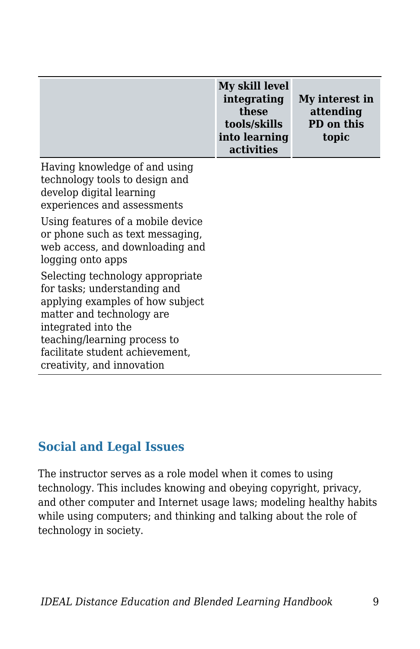|                                                                                                                                                                                                                                                           | My skill level<br>integrating<br>these<br>tools/skills<br>into learning<br>activities | My interest in<br>attending<br>PD on this<br>topic |
|-----------------------------------------------------------------------------------------------------------------------------------------------------------------------------------------------------------------------------------------------------------|---------------------------------------------------------------------------------------|----------------------------------------------------|
| Having knowledge of and using<br>technology tools to design and<br>develop digital learning<br>experiences and assessments                                                                                                                                |                                                                                       |                                                    |
| Using features of a mobile device<br>or phone such as text messaging,<br>web access, and downloading and<br>logging onto apps                                                                                                                             |                                                                                       |                                                    |
| Selecting technology appropriate<br>for tasks; understanding and<br>applying examples of how subject<br>matter and technology are<br>integrated into the<br>teaching/learning process to<br>facilitate student achievement,<br>creativity, and innovation |                                                                                       |                                                    |

#### **Social and Legal Issues**

The instructor serves as a role model when it comes to using technology. This includes knowing and obeying copyright, privacy, and other computer and Internet usage laws; modeling healthy habits while using computers; and thinking and talking about the role of technology in society.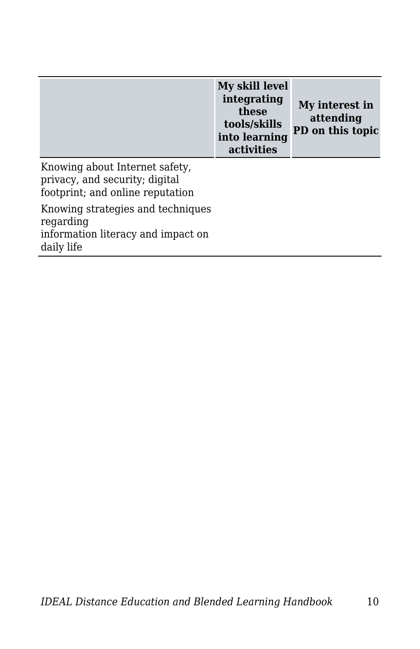|                                                                                                      | My skill level<br>integrating<br>these<br>tools/skills<br>into learning<br>activities | My interest in<br>attending<br>PD on this topic |
|------------------------------------------------------------------------------------------------------|---------------------------------------------------------------------------------------|-------------------------------------------------|
| Knowing about Internet safety,<br>privacy, and security; digital<br>footprint; and online reputation |                                                                                       |                                                 |
| Knowing strategies and techniques<br>regarding<br>information literacy and impact on<br>daily life   |                                                                                       |                                                 |